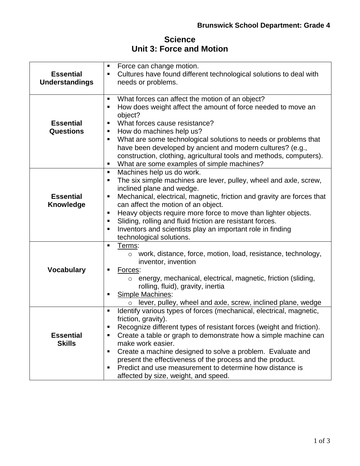## **Science Unit 3: Force and Motion**

| <b>Essential</b><br><b>Understandings</b> | Force can change motion.<br>٠<br>Cultures have found different technological solutions to deal with<br>ш<br>needs or problems.                                                                                                                                                                                                                                                                                                                                                                                             |
|-------------------------------------------|----------------------------------------------------------------------------------------------------------------------------------------------------------------------------------------------------------------------------------------------------------------------------------------------------------------------------------------------------------------------------------------------------------------------------------------------------------------------------------------------------------------------------|
| <b>Essential</b><br><b>Questions</b>      | What forces can affect the motion of an object?<br>п<br>How does weight affect the amount of force needed to move an<br>٠<br>object?<br>What forces cause resistance?<br>٠<br>How do machines help us?<br>п<br>What are some technological solutions to needs or problems that<br>٠<br>have been developed by ancient and modern cultures? (e.g.,<br>construction, clothing, agricultural tools and methods, computers).<br>What are some examples of simple machines?<br>п                                                |
| <b>Essential</b><br>Knowledge             | Machines help us do work.<br>٠<br>The six simple machines are lever, pulley, wheel and axle, screw,<br>٠<br>inclined plane and wedge.<br>Mechanical, electrical, magnetic, friction and gravity are forces that<br>٠<br>can affect the motion of an object.<br>Heavy objects require more force to move than lighter objects.<br>٠<br>Sliding, rolling and fluid friction are resistant forces.<br>٠<br>Inventors and scientists play an important role in finding<br>٠<br>technological solutions.                        |
| <b>Vocabulary</b>                         | Terms:<br>п<br>work, distance, force, motion, load, resistance, technology,<br>$\circ$<br>inventor, invention<br>Forces:<br>п<br>$\circ$ energy, mechanical, electrical, magnetic, friction (sliding,<br>rolling, fluid), gravity, inertia<br><b>Simple Machines:</b><br>٠<br>lever, pulley, wheel and axle, screw, inclined plane, wedge<br>$\circ$                                                                                                                                                                       |
| <b>Essential</b><br><b>Skills</b>         | Identify various types of forces (mechanical, electrical, magnetic,<br>$\blacksquare$<br>friction, gravity).<br>Recognize different types of resistant forces (weight and friction).<br>Create a table or graph to demonstrate how a simple machine can<br>٠<br>make work easier.<br>Create a machine designed to solve a problem. Evaluate and<br>п<br>present the effectiveness of the process and the product.<br>Predict and use measurement to determine how distance is<br>٠<br>affected by size, weight, and speed. |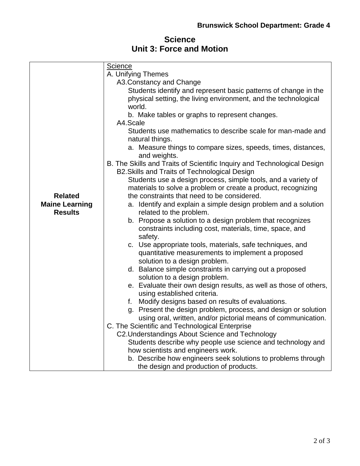| <b>Science</b>                  |  |
|---------------------------------|--|
| <b>Unit 3: Force and Motion</b> |  |

|                       | <b>Science</b>                                                                                                       |
|-----------------------|----------------------------------------------------------------------------------------------------------------------|
|                       | A. Unifying Themes                                                                                                   |
|                       | A3. Constancy and Change                                                                                             |
|                       | Students identify and represent basic patterns of change in the                                                      |
|                       | physical setting, the living environment, and the technological                                                      |
|                       | world.                                                                                                               |
|                       | b. Make tables or graphs to represent changes.                                                                       |
|                       | A4.Scale                                                                                                             |
|                       | Students use mathematics to describe scale for man-made and                                                          |
|                       |                                                                                                                      |
|                       | natural things.                                                                                                      |
|                       | a. Measure things to compare sizes, speeds, times, distances,<br>and weights.                                        |
|                       | B. The Skills and Traits of Scientific Inquiry and Technological Design                                              |
|                       | B2. Skills and Traits of Technological Design                                                                        |
|                       | Students use a design process, simple tools, and a variety of                                                        |
|                       | materials to solve a problem or create a product, recognizing                                                        |
| <b>Related</b>        | the constraints that need to be considered.                                                                          |
| <b>Maine Learning</b> | a. Identify and explain a simple design problem and a solution                                                       |
| <b>Results</b>        | related to the problem.                                                                                              |
|                       |                                                                                                                      |
|                       | b. Propose a solution to a design problem that recognizes<br>constraints including cost, materials, time, space, and |
|                       |                                                                                                                      |
|                       | safety.                                                                                                              |
|                       | c. Use appropriate tools, materials, safe techniques, and                                                            |
|                       | quantitative measurements to implement a proposed                                                                    |
|                       | solution to a design problem.                                                                                        |
|                       | d. Balance simple constraints in carrying out a proposed                                                             |
|                       | solution to a design problem.                                                                                        |
|                       | e. Evaluate their own design results, as well as those of others,                                                    |
|                       | using established criteria.                                                                                          |
|                       | Modify designs based on results of evaluations.<br>f.                                                                |
|                       | g. Present the design problem, process, and design or solution                                                       |
|                       | using oral, written, and/or pictorial means of communication.                                                        |
|                       | C. The Scientific and Technological Enterprise                                                                       |
|                       | C2. Understandings About Science and Technology                                                                      |
|                       | Students describe why people use science and technology and                                                          |
|                       | how scientists and engineers work.                                                                                   |
|                       | b. Describe how engineers seek solutions to problems through                                                         |
|                       | the design and production of products.                                                                               |